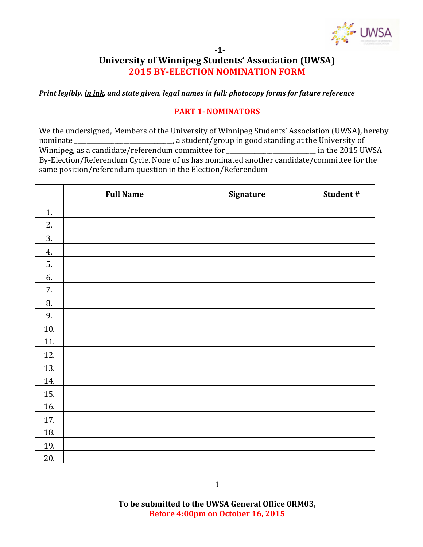

#### **-1-**

### **University of Winnipeg Students' Association (UWSA) 2015 BY-ELECTION NOMINATION FORM**

*Print legibly, in ink, and state given, legal names in full: photocopy forms for future reference* 

### **PART 1- NOMINATORS**

We the undersigned, Members of the University of Winnipeg Students' Association (UWSA), hereby nominate \_\_\_\_\_\_\_\_\_\_\_\_\_\_\_\_\_\_\_\_\_\_\_\_\_\_\_\_, a student/group in good standing at the University of Winnipeg, as a candidate/referendum committee for \_\_\_\_\_\_\_\_\_\_\_\_\_\_\_\_\_\_\_\_\_\_\_\_\_\_\_\_\_\_\_ in the 2015 UWSA By-Election/Referendum Cycle. None of us has nominated another candidate/committee for the same position/referendum question in the Election/Referendum

|     | <b>Full Name</b> | Signature | Student # |
|-----|------------------|-----------|-----------|
| 1.  |                  |           |           |
| 2.  |                  |           |           |
| 3.  |                  |           |           |
| 4.  |                  |           |           |
| 5.  |                  |           |           |
| 6.  |                  |           |           |
| 7.  |                  |           |           |
| 8.  |                  |           |           |
| 9.  |                  |           |           |
| 10. |                  |           |           |
| 11. |                  |           |           |
| 12. |                  |           |           |
| 13. |                  |           |           |
| 14. |                  |           |           |
| 15. |                  |           |           |
| 16. |                  |           |           |
| 17. |                  |           |           |
| 18. |                  |           |           |
| 19. |                  |           |           |
| 20. |                  |           |           |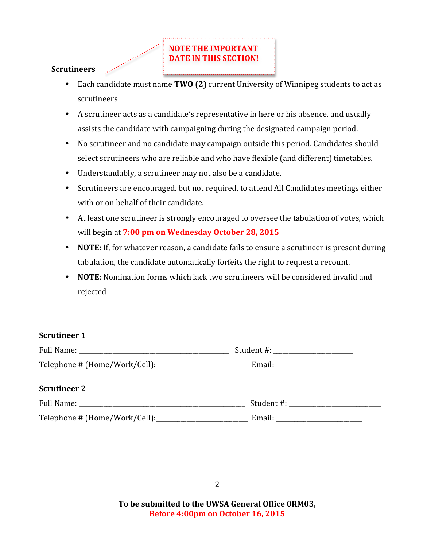## **NOTE THE IMPORTANT DATE IN THIS SECTION!**

### **Scrutineers**

- Each candidate must name **TWO (2)** current University of Winnipeg students to act as scrutineers
- A scrutineer acts as a candidate's representative in here or his absence, and usually assists the candidate with campaigning during the designated campaign period.
- No scrutineer and no candidate may campaign outside this period. Candidates should select scrutineers who are reliable and who have flexible (and different) timetables.
- Understandably, a scrutineer may not also be a candidate.
- Scrutineers are encouraged, but not required, to attend All Candidates meetings either with or on behalf of their candidate.
- At least one scrutineer is strongly encouraged to oversee the tabulation of votes, which will begin at 7:00 pm on Wednesday October 28, 2015
- **NOTE:** If, for whatever reason, a candidate fails to ensure a scrutineer is present during tabulation, the candidate automatically forfeits the right to request a recount.
- **NOTE:** Nomination forms which lack two scrutineers will be considered invalid and rejected

### **Scrutineer 1**

| <b>Full Name:</b>             | Student #: |
|-------------------------------|------------|
| Telephone # (Home/Work/Cell): | Email:     |

### **Scrutineer 2**

| Full Name:                    | Student #: |
|-------------------------------|------------|
| Telephone # (Home/Work/Cell): | Email:     |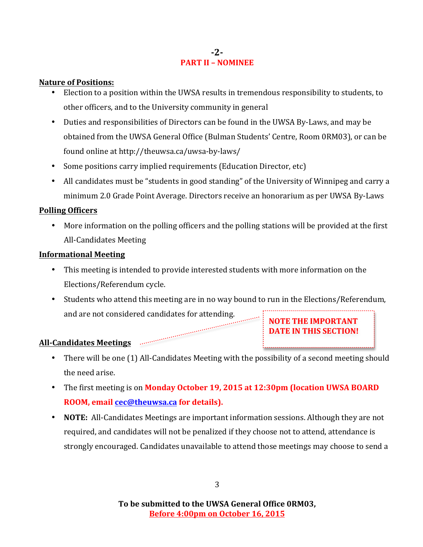### **-2- PART II – NOMINEE**

### **Nature of Positions:**

- Election to a position within the UWSA results in tremendous responsibility to students, to other officers, and to the University community in general
- Duties and responsibilities of Directors can be found in the UWSA By-Laws, and may be obtained from the UWSA General Office (Bulman Students' Centre, Room 0RM03), or can be found online at http://theuwsa.ca/uwsa-by-laws/
- Some positions carry implied requirements (Education Director, etc)
- All candidates must be "students in good standing" of the University of Winnipeg and carry a minimum 2.0 Grade Point Average. Directors receive an honorarium as per UWSA By-Laws

### **Polling Officers**

• More information on the polling officers and the polling stations will be provided at the first All-Candidates Meeting

### **Informational Meeting**

- This meeting is intended to provide interested students with more information on the Elections/Referendum cycle.
- Students who attend this meeting are in no way bound to run in the Elections/Referendum, and are not considered candidates for attending.

**NOTE THE IMPORTANT DATE IN THIS SECTION!** 

# All-Candidates Meetings **Election Communication**

- There will be one (1) All-Candidates Meeting with the possibility of a second meeting should the need arise.
- The first meeting is on **Monday October 19, 2015 at 12:30pm (location UWSA BOARD ROOM, email cec@theuwsa.ca for details).**
- **NOTE:** All-Candidates Meetings are important information sessions. Although they are not required, and candidates will not be penalized if they choose not to attend, attendance is strongly encouraged. Candidates unavailable to attend those meetings may choose to send a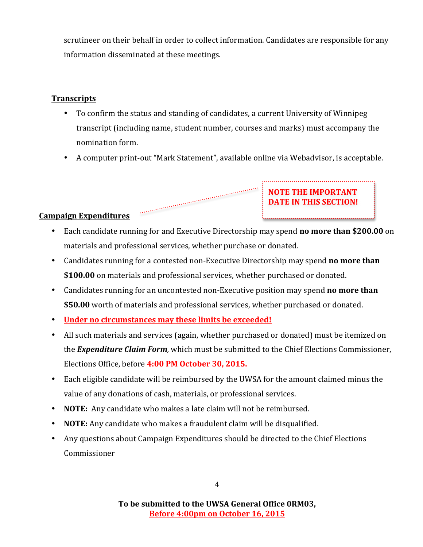scrutineer on their behalf in order to collect information. Candidates are responsible for any information disseminated at these meetings.

### **Transcripts**

- To confirm the status and standing of candidates, a current University of Winnipeg transcript (including name, student number, courses and marks) must accompany the nomination form.
- A computer print-out "Mark Statement", available online via Webadvisor, is acceptable.

**NOTE THE IMPORTANT DATE IN THIS SECTION!** 

### **Campaign Expenditures**

- Each candidate running for and Executive Directorship may spend **no more than \$200.00** on materials and professional services, whether purchase or donated.
- Candidates running for a contested non-Executive Directorship may spend **no more than** \$100.00 on materials and professional services, whether purchased or donated.

- Candidates running for an uncontested non-Executive position may spend **no more than** \$50.00 worth of materials and professional services, whether purchased or donated.
- Under no circumstances may these limits be exceeded!
- All such materials and services (again, whether purchased or donated) must be itemized on the **Expenditure Claim Form**, which must be submitted to the Chief Elections Commissioner, Elections Office, before 4:00 PM October 30, 2015.
- Each eligible candidate will be reimbursed by the UWSA for the amount claimed minus the value of any donations of cash, materials, or professional services.
- **NOTE:** Any candidate who makes a late claim will not be reimbursed.
- **NOTE:** Any candidate who makes a fraudulent claim will be disqualified.
- Any questions about Campaign Expenditures should be directed to the Chief Elections Commissioner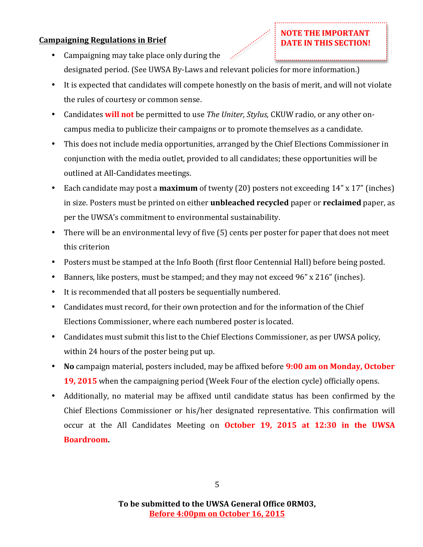### **Campaigning Regulations in Brief**

• Campaigning may take place only during the designated period. (See UWSA By-Laws and relevant policies for more information.)

**NOTE THE IMPORTANT DATE IN THIS SECTION!** 

- It is expected that candidates will compete honestly on the basis of merit, and will not violate the rules of courtesy or common sense.
- Candidates **will not** be permitted to use *The Uniter, Stylus,* CKUW radio, or any other oncampus media to publicize their campaigns or to promote themselves as a candidate.
- This does not include media opportunities, arranged by the Chief Elections Commissioner in conjunction with the media outlet, provided to all candidates; these opportunities will be outlined at All-Candidates meetings.
- Each candidate may post a **maximum** of twenty (20) posters not exceeding 14" x 17" (inches) in size. Posters must be printed on either **unbleached recycled** paper or **reclaimed** paper, as per the UWSA's commitment to environmental sustainability.
- There will be an environmental levy of five (5) cents per poster for paper that does not meet this criterion
- Posters must be stamped at the Info Booth (first floor Centennial Hall) before being posted.
- Banners, like posters, must be stamped; and they may not exceed 96" x 216" (inches).
- It is recommended that all posters be sequentially numbered.
- Candidates must record, for their own protection and for the information of the Chief Elections Commissioner, where each numbered poster is located.
- Candidates must submit this list to the Chief Elections Commissioner, as per UWSA policy, within 24 hours of the poster being put up.
- No campaign material, posters included, may be affixed before **9:00 am on Monday, October 19, 2015** when the campaigning period (Week Four of the election cycle) officially opens.
- Additionally, no material may be affixed until candidate status has been confirmed by the Chief Elections Commissioner or his/her designated representative. This confirmation will occur at the All Candidates Meeting on **October 19, 2015 at 12:30 in the UWSA Boardroom.**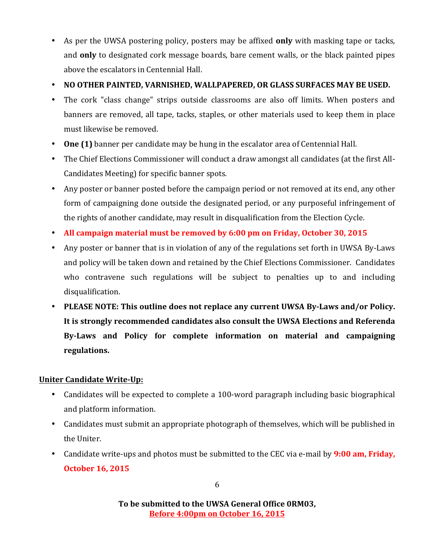- As per the UWSA postering policy, posters may be affixed **only** with masking tape or tacks, and **only** to designated cork message boards, bare cement walls, or the black painted pipes above the escalators in Centennial Hall.
- NO OTHER PAINTED, VARNISHED, WALLPAPERED, OR GLASS SURFACES MAY BE USED.
- The cork "class change" strips outside classrooms are also off limits. When posters and banners are removed, all tape, tacks, staples, or other materials used to keep them in place must likewise be removed.
- One (1) banner per candidate may be hung in the escalator area of Centennial Hall.
- The Chief Elections Commissioner will conduct a draw amongst all candidates (at the first All-Candidates Meeting) for specific banner spots.
- Any poster or banner posted before the campaign period or not removed at its end, any other form of campaigning done outside the designated period, or any purposeful infringement of the rights of another candidate, may result in disqualification from the Election Cycle.
- All campaign material must be removed by 6:00 pm on Friday, October 30, 2015
- Any poster or banner that is in violation of any of the regulations set forth in UWSA By-Laws and policy will be taken down and retained by the Chief Elections Commissioner. Candidates who contravene such regulations will be subject to penalties up to and including disqualification.
- PLEASE NOTE: This outline does not replace any current UWSA By-Laws and/or Policy. It is strongly recommended candidates also consult the UWSA Elections and Referenda By-Laws and Policy for complete information on material and campaigning **regulations.**

### **Uniter Candidate Write-Up:**

- Candidates will be expected to complete a 100-word paragraph including basic biographical and platform information.
- Candidates must submit an appropriate photograph of themselves, which will be published in the Uniter.
- Candidate write-ups and photos must be submitted to the CEC via e-mail by **9:00 am, Friday, October 16, 2015**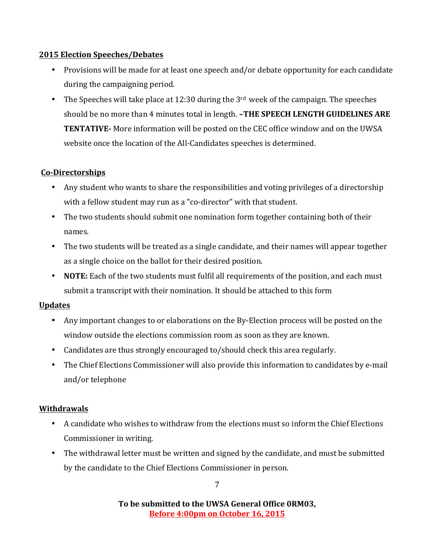### **2015 Election Speeches/Debates**

- Provisions will be made for at least one speech and/or debate opportunity for each candidate during the campaigning period.
- The Speeches will take place at 12:30 during the  $3<sup>rd</sup>$  week of the campaign. The speeches should be no more than 4 minutes total in length. **-THE SPEECH LENGTH GUIDELINES ARE TENTATIVE-** More information will be posted on the CEC office window and on the UWSA website once the location of the All-Candidates speeches is determined.

### **Co-Directorships**

- Any student who wants to share the responsibilities and voting privileges of a directorship with a fellow student may run as a "co-director" with that student.
- The two students should submit one nomination form together containing both of their names.
- The two students will be treated as a single candidate, and their names will appear together as a single choice on the ballot for their desired position.
- **NOTE:** Each of the two students must fulfil all requirements of the position, and each must submit a transcript with their nomination. It should be attached to this form

### **Updates**

- Any important changes to or elaborations on the By-Election process will be posted on the window outside the elections commission room as soon as they are known.
- Candidates are thus strongly encouraged to/should check this area regularly.
- The Chief Elections Commissioner will also provide this information to candidates by e-mail and/or telephone

### **Withdrawals**

- A candidate who wishes to withdraw from the elections must so inform the Chief Elections Commissioner in writing.
- The withdrawal letter must be written and signed by the candidate, and must be submitted by the candidate to the Chief Elections Commissioner in person.

7

To be submitted to the UWSA General Office ORM03, **Before 4:00pm on October 16, 2015**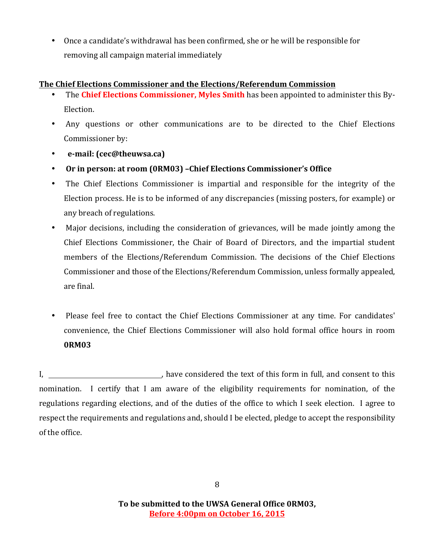• Once a candidate's withdrawal has been confirmed, she or he will be responsible for removing all campaign material immediately

### **The Chief Elections Commissioner and the Elections/Referendum Commission**

- The **Chief Elections Commissioner, Myles Smith** has been appointed to administer this By-Election.
- Any questions or other communications are to be directed to the Chief Elections Commissioner by:
- **e-mail: (cec@theuwsa.ca)**
- Or in person: at room (0RM03) -Chief Elections Commissioner's Office
- The Chief Elections Commissioner is impartial and responsible for the integrity of the Election process. He is to be informed of any discrepancies (missing posters, for example) or any breach of regulations.
- Major decisions, including the consideration of grievances, will be made jointly among the Chief Elections Commissioner, the Chair of Board of Directors, and the impartial student members of the Elections/Referendum Commission. The decisions of the Chief Elections Commissioner and those of the Elections/Referendum Commission, unless formally appealed, are final.
- Please feel free to contact the Chief Elections Commissioner at any time. For candidates' convenience, the Chief Elections Commissioner will also hold formal office hours in room **0RM03**

I, , have considered the text of this form in full, and consent to this nomination. I certify that I am aware of the eligibility requirements for nomination, of the regulations regarding elections, and of the duties of the office to which I seek election. I agree to respect the requirements and regulations and, should I be elected, pledge to accept the responsibility of the office.